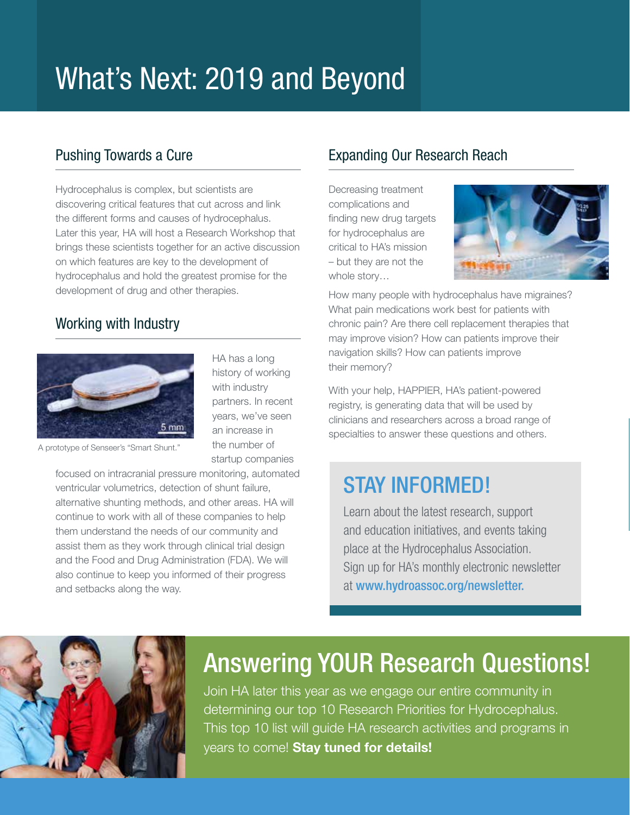# What's Next: 2019 and Beyond

### Pushing Towards a Cure

Hydrocephalus is complex, but scientists are discovering critical features that cut across and link the different forms and causes of hydrocephalus. Later this year, HA will host a Research Workshop that brings these scientists together for an active discussion on which features are key to the development of hydrocephalus and hold the greatest promise for the development of drug and other therapies.

### Working with Industry



HA has a long history of working with industry partners. In recent years, we've seen an increase in the number of startup companies

A prototype of Senseer's "Smart Shunt."

focused on intracranial pressure monitoring, automated ventricular volumetrics, detection of shunt failure, alternative shunting methods, and other areas. HA will continue to work with all of these companies to help them understand the needs of our community and assist them as they work through clinical trial design and the Food and Drug Administration (FDA). We will also continue to keep you informed of their progress and setbacks along the way.

### Expanding Our Research Reach

Decreasing treatment complications and finding new drug targets for hydrocephalus are critical to HA's mission – but they are not the whole story…



How many people with hydrocephalus have migraines? What pain medications work best for patients with chronic pain? Are there cell replacement therapies that may improve vision? How can patients improve their navigation skills? How can patients improve their memory?

With your help, HAPPIER, HA's patient-powered registry, is generating data that will be used by clinicians and researchers across a broad range of specialties to answer these questions and others.

### STAY INFORMED!

Learn about the latest research, support and education initiatives, and events taking place at the Hydrocephalus Association. Sign up for HA's monthly electronic newsletter at www.hydroassoc.org/newsletter.



### Answering YOUR Research Questions!

Join HA later this year as we engage our entire community in determining our top 10 Research Priorities for Hydrocephalus. This top 10 list will guide HA research activities and programs in years to come! Stay tuned for details!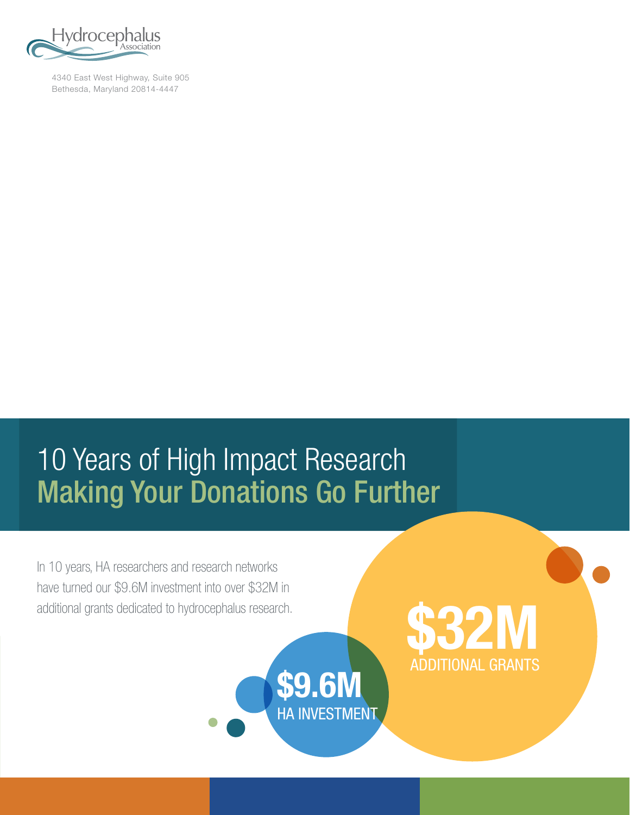

4340 East West Highway, Suite 905 Bethesda, Maryland 20814-4447

# 10 Years of High Impact Research Making Your Donations Go Further

ADDITIONAL GRANTS **\$9.6M**

HA INVESTMENT

In 10 years, HA researchers and research networks have turned our \$9.6M investment into over \$32M in

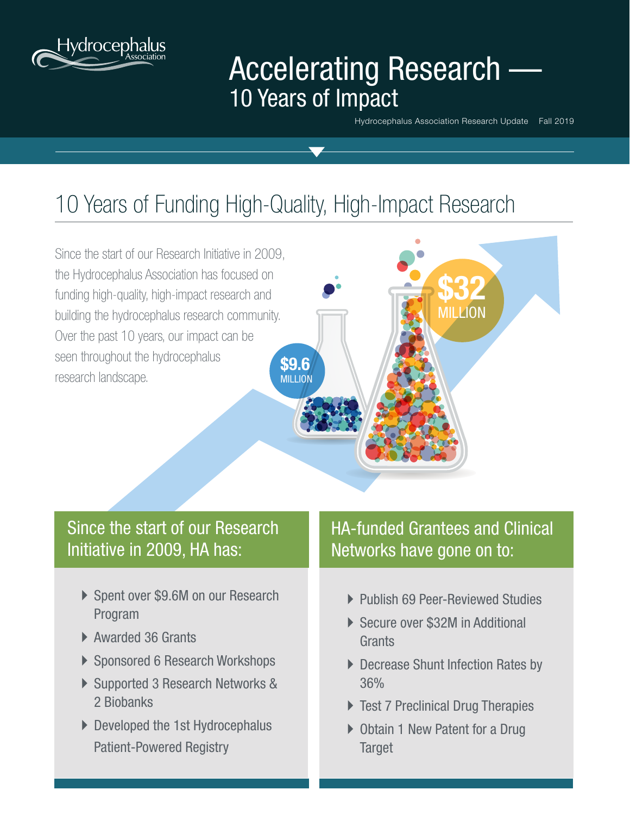

## Accelerating Research -10 Years of Impact

Hydrocephalus Association Research Update Fall 2019

**\$32**

**MILLION** 

## 10 Years of Funding High-Quality, High-Impact Research

Since the start of our Research Initiative in 2009, the Hydrocephalus Association has focused on funding high-quality, high-impact research and building the hydrocephalus research community. Over the past 10 years, our impact can be seen throughout the hydrocephalus research landscape. **\$9.6** MILLION

### Since the start of our Research Initiative in 2009, HA has:

- ▶ Spent over \$9.6M on our Research Program
- ▶ Awarded 36 Grants
- ▶ Sponsored 6 Research Workshops
- ▶ Supported 3 Research Networks & 2 Biobanks
- Developed the 1st Hydrocephalus Patient-Powered Registry

### HA-funded Grantees and Clinical Networks have gone on to:

- ▶ Publish 69 Peer-Reviewed Studies
- ▶ Secure over \$32M in Additional **Grants**
- **Decrease Shunt Infection Rates by** 36%
- **Test 7 Preclinical Drug Therapies**
- ▶ Obtain 1 New Patent for a Drug **Target**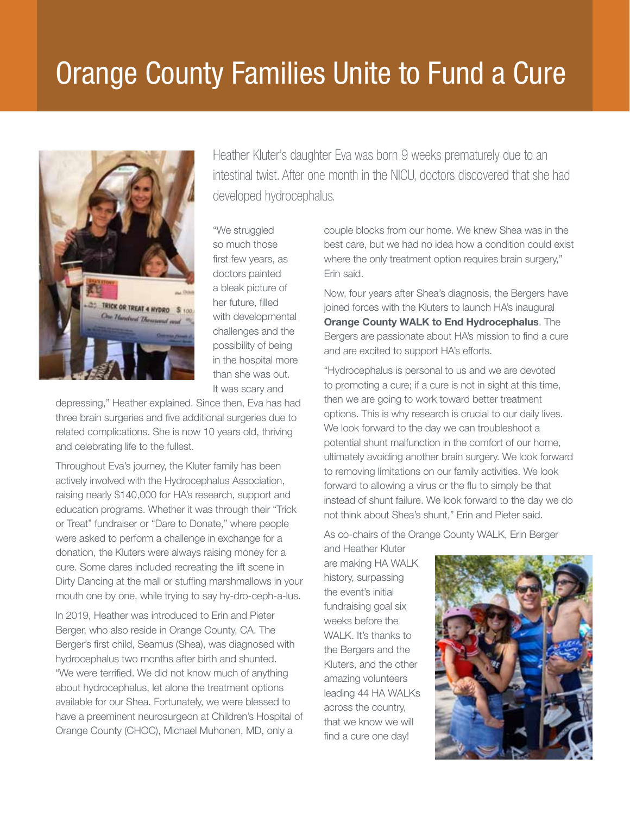# Orange County Families Unite to Fund a Cure



Heather Kluter's daughter Eva was born 9 weeks prematurely due to an intestinal twist. After one month in the NICU, doctors discovered that she had developed hydrocephalus.

"We struggled so much those first few years, as doctors painted a bleak picture of her future, filled with developmental challenges and the possibility of being in the hospital more than she was out. It was scary and

depressing," Heather explained. Since then, Eva has had three brain surgeries and five additional surgeries due to related complications. She is now 10 years old, thriving and celebrating life to the fullest.

Throughout Eva's journey, the Kluter family has been actively involved with the Hydrocephalus Association, raising nearly \$140,000 for HA's research, support and education programs. Whether it was through their "Trick or Treat" fundraiser or "Dare to Donate," where people were asked to perform a challenge in exchange for a donation, the Kluters were always raising money for a cure. Some dares included recreating the lift scene in Dirty Dancing at the mall or stuffing marshmallows in your mouth one by one, while trying to say hy-dro-ceph-a-lus.

In 2019, Heather was introduced to Erin and Pieter Berger, who also reside in Orange County, CA. The Berger's first child, Seamus (Shea), was diagnosed with hydrocephalus two months after birth and shunted. "We were terrified. We did not know much of anything about hydrocephalus, let alone the treatment options available for our Shea. Fortunately, we were blessed to have a preeminent neurosurgeon at Children's Hospital of Orange County (CHOC), Michael Muhonen, MD, only a

couple blocks from our home. We knew Shea was in the best care, but we had no idea how a condition could exist where the only treatment option requires brain surgery," Erin said.

Now, four years after Shea's diagnosis, the Bergers have joined forces with the Kluters to launch HA's inaugural Orange County WALK to End Hydrocephalus. The Bergers are passionate about HA's mission to find a cure and are excited to support HA's efforts.

"Hydrocephalus is personal to us and we are devoted to promoting a cure; if a cure is not in sight at this time, then we are going to work toward better treatment options. This is why research is crucial to our daily lives. We look forward to the day we can troubleshoot a potential shunt malfunction in the comfort of our home, ultimately avoiding another brain surgery. We look forward to removing limitations on our family activities. We look forward to allowing a virus or the flu to simply be that instead of shunt failure. We look forward to the day we do not think about Shea's shunt," Erin and Pieter said.

As co-chairs of the Orange County WALK, Erin Berger

and Heather Kluter are making HA WALK history, surpassing the event's initial fundraising goal six weeks before the WALK. It's thanks to the Bergers and the Kluters, and the other amazing volunteers leading 44 HA WALKs across the country, that we know we will find a cure one day!

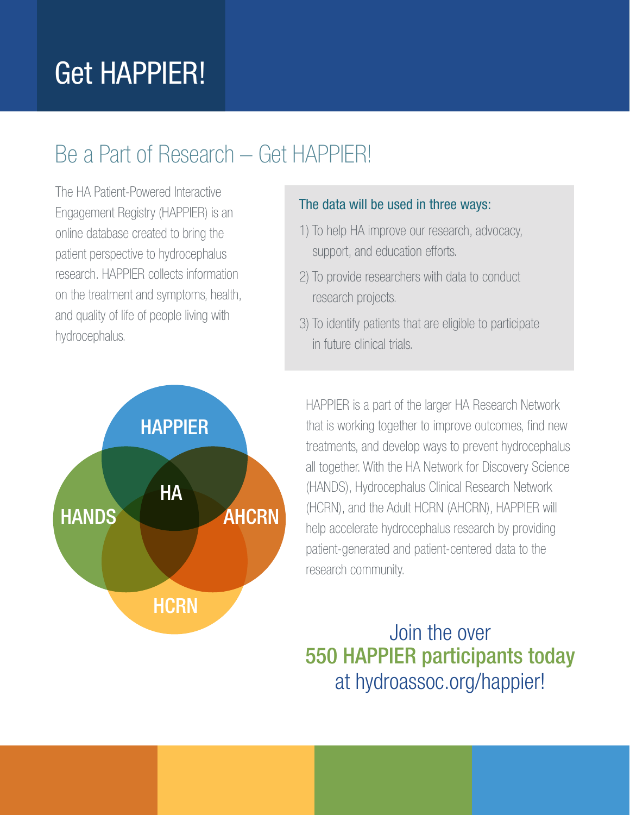# Get HAPPIER!

## Be a Part of Research – Get HAPPIER!

The HA Patient-Powered Interactive Engagement Registry (HAPPIER) is an online database created to bring the patient perspective to hydrocephalus research. HAPPIER collects information on the treatment and symptoms, health, and quality of life of people living with hydrocephalus.



### The data will be used in three ways:

- 1) To help HA improve our research, advocacy, support, and education efforts.
- 2) To provide researchers with data to conduct research projects.
- 3) To identify patients that are eligible to participate in future clinical trials.

HAPPIER is a part of the larger HA Research Network that is working together to improve outcomes, find new treatments, and develop ways to prevent hydrocephalus all together. With the HA Network for Discovery Science (HANDS), Hydrocephalus Clinical Research Network (HCRN), and the Adult HCRN (AHCRN), HAPPIER will help accelerate hydrocephalus research by providing patient-generated and patient-centered data to the research community.

### Join the over 550 HAPPIER participants today at hydroassoc.org/happier!